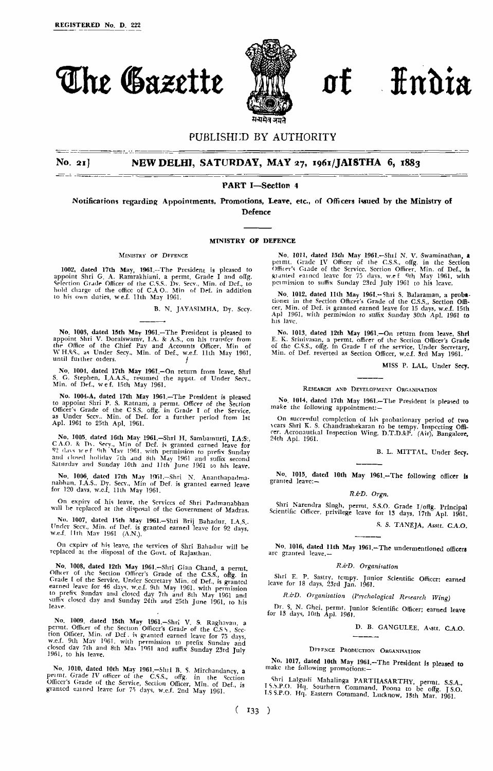



## PUBLISHI;D BY AUTHORITY

### **No 21] NEW DELHI, SATURDAY, MAY 27, 1961/JAISTHA 6, 1883**

### PART I—Section 4

Notifications regarding Appointments, Promotions, Leave, etc., of Officers issued by the Ministry of Defence

#### **MINISTRY** OF **DEFENCE**

### MINISTRY OF DEFENCE

1002, dated 17th May, 1961,-The President is pleased to appoint Shri G. A. Ramrakhiani, a permt, Grade I and offg. Selection Grade Officer of the C.S.S.. Dy. Secy., Min. of Def., to hold charge of the office of C.A O. Min of Def. in addition to his own duties, w e.f. 11th May 1961.

B. N. JAYASIMHA, Dy. Secy.

No. 1003, dated 15th May I961.-The President is pleased to appoint Shri V. Doraiswamy, I.A. & A.S., on his transfer from<br>the Office of the Chief Pay and Accounts Officer, Min of<br>WH.&S., as Under Secy., Min. of Def., w.e.f. 11th May 1961,<br>until further orders.

No, 1004, dated 17th May 1961,-On return from leave, Shri S. G. Stephen, I.A.A.S., resumed the apptt. of Under Secy., Min, of Def., w e f, 15th May 1961,

No. 1004-A, dated 17th May 1961.—The President is pleased<br>to appoint Shri P. S. Ratnam, a permt. Officer of the Section<br>Officer's Grade of the CS.S. offg. in Grade I of the Service,<br>as Under Secv. Min. of Def. for a furthe

No. 1005. dated 16th May 1961.—Shri H. Sambamurti, I.A:S:, CA.O. & Dy. Secy, Min of Def. is granted earned leave for 82 days wef 9th May 1961, with permission to prefix Sunday and dosed holiday 7th and 8th May 1961 and suffix second Saturday and Sunday 10th and 11th June 1961 to his leave.

No. 1006, dated 17th May 1961,—Shri N. Ananthapadma-nabhan, I.A.S., Dy. Secy., Min of Def, is granted earned leave<br>for 120 days, w.e.f. 11th May 1961.

On expiry of his leave, the Services of Shri Padmanabhan will be replaced at the disposal of the Government of Madras.

No. 1007, dated 15th May 1961.-Shri Brij Bahadur, I.A.S., Under Secv., Min. of Def. is granted earned leave for 92 days, w.e.f. 11th May 1961 (A.N.).

On expiry of his leave, the services of Shri Bahadur will be replaced at the disposal of the Govt. of Rajasthan,

No. 1008, dated 12th May 1961.—Shri Gian Chand, a permt.<br>Officer of the Section Officer's Grade of the C.S.S., offg. in<br>Grade I of the Service, Under Secretary Min. of Def., is granted<br>earned leave for 46 days, w.c.f. 9th

No. 1009, dated 15th May 1961.—Shri V, S, Raghavan, a<br>permt. Officer of the Section Officer's Grade of the C.S.S., Section Officer, Min. of Def., is granted earned leave for 75 days,<br>w.e.f. 9th May 1961, with permission to

No. 1010, dated 10th May **1961.—**Shri B. S, Mirchandancy, a permt. Grade IV officer of the C.S.S., offg. in the Section<br>Officer's Grade of the Service, Section Officer, Min. of Def., is<br>granted earned leave for 75 days, w.e.f. 2nd May 1961.

No. 1011, dated 15th May I961.-Shri N. V. Swaminathan, a permt. Grade IV Officer of the C.S.S., offg. in the Section Officer's Grade of the Service, Section Officer, Min. of Def., is granted earned leave for 75 days, w.e f 9th May 1961, with permission to suffix Sunday 23rd July 1961 to his leave.

No. 1012, dated 11th May 1961.-- Shri S. Balaraman, a probationer in the Section Officer's Grade of the C.S.S., Section Officer, Min. of Def. is granted earned leave for 15 days, w.e.f. 15th Apl 1961, with permission to su his lave.

No. 1013, dated 12th May 1961,--On return from leave, Shrl<br>E. K. Srinivasan, a permt, officer of the Section Officer's Grade<br>of the C.S.S., offg. in Grade I of the service, Under Secretary,<br>Min. of Def. reverted as Section

MISS P, LAL, Under Secy.

### RESEARCH AND DEVELOPMENT ORGANISATION

No. **1014,** dated 17th May I961.-The President is pleased to make the following appointment:—

On successful completion of his probationary period of two years Shri K. S, Chandrashekaran to he tempy, Inspecting Offi-cer. Aeronautical Inspection Wing, DT.D.&P. (Air), Bangalore, 24th Apl. 1961.

B. L. MITTAL, Under Secy.

No. 1015, dated 10th May 1961,-The following officer is granted leave:—

### *R.& D. Orgn.*

Shri Narendra Singh, permt. S.S.O. Grade I/offg. Principal Scientific Officer, privilege leave for 13 days, 17th Apl. 1961.

S. S. TANEJA, Asstt. C.A.O.

No, 1016, dated 11th May 19GI.-The undermentioned officers arc granted leave.—

### *R. & D, Organisation*

Shri E. P. Sastry, tempy, Junior Scientific Offficer; earned leave for 18 days, 23rd Jan. 1961.

*R.&D. Organisation (Psychological Research Wing)*

Dr. S. N. Ghei, permt. Junior Scientific Officer; earned leave<br>for 13 days, 10th Apl. 1961.

D. B. GANGULEE, Asstt, C.A.O.

### DEFENCE PRODUCTION ORGANISATION

No. 1017, dated 10th May 1961,-The President is pleased to make the following promotions:—

Shri Lalgudi Mahalinga PARTHASARTHY, permt. S.S.A, I.S.S.P.O. Hq.. Southern Command, Poona to be offg. JSO I.SS.P.O. Hq. Eastern Command, Lucknow, 13th Mar 1961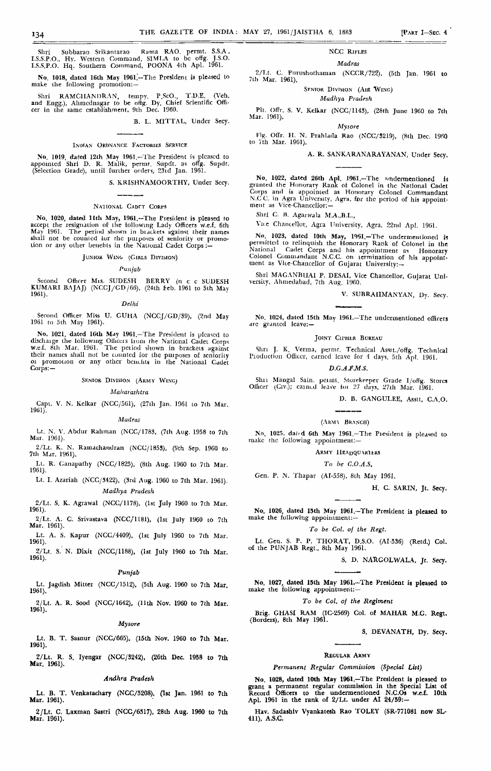Shri Subbarao Srikantarao Rama RAO. permt. S.S.A , I.S.S.P.O., Hy. Wcstcin Command, SIMLA to be offg. J.S.O. I.S.S.P.O. Hq. Southern Command, POONA 4th Apl. 1961.

No, 1018, dated I6th May 1961.'—The President Is pleased to make the following promotion:

Shri RAMCIIANDRAN, tempy. P.ScO., T.D.E. (Veh. and Engg.), Ahmcdnagar to be oftg. Dy, Chief Scientific Officer in the same establishment, 9th Dec. 1960.

B. L. M1TTAL, Under Secy.

### INDIAN ORDNANCE FACTORIES SERVICE

No. 1019, dated 12th May 1961.—The President is pleased to appointed Shri D. R. Malik, permt. Supdt. as orfg, Supdt, (Selection Grade), until further orders, 23id Jan. 1961.

S. KRISHNAMOORTHY, Under Secy.

### NATIONAL CADIT CORPS

No. 1020, dated 11th May, 1961.—The President is pleased to accept the resignation of the following Lady Officers w.e.f. 6th May 1961. The period shown in buckets against their names shall not be counted lor the purposes of seniority or promolion or any other benefits in the National Cadet Corps :—

### JUNIOR WINO (GIRLS DIVISION)

### *Punjab*

Second Officer Mis. SUDESH BERRY (n c c SUDESH KUMARI BAJAJ) (NCCJ/CD/66), (24th feb. 1961 to 5th May 1961).

#### *Delhi*

Second Officer Miss U, GUHA (NCCJ/GD/39), (2nd May 1961 to 5th May 1961).

No. 1021, dated lGth May 1961.—The President is pleased to dischaige the following Officers from the National Cadet Corps w.e.f, 8lh Mar. 1961. The peiiod shown in brackets against their names shall not be counted for the purposes of seniority oi promotion or any other benchts in the National Cadet Corps: —

### SENIOR DIVISION (ARMY WING)

#### *Maharashtra*

Capt. V. N. Kclkar (NCC/5G1), (27th Tan, 1961 to 7th Mar 1961).

### *Madras*

Lt. N. V. Abdur Rahman (NCC/1783, (7th Aug. 1958 to 7th Mar. 1961).

2/Lt. K, N. Ramachandran (NCC/185S), (9th Sep. 19GQ to 7th Mar. 1961).

Lt. R. Canapathy (NCC/1825), (8th Aug. 1960 to 7th Mar. 1961).

Lt. I. Azariah (NCC/3422), (3rd Aug. 1960 to 7th Mar. 1961), *Madhya Pradesh*

2/Lt. S. K. Agrawal (NCC/1178), (1st July 1960 to 7th Mar 1961).

2/Lt. A. C. Srivastava (NCC/1181), (1st Tuly I960 to 7th Mar, 1961).

Lt. A. S. Kapur (NCC/4409), (1st July 1960 to 7th Mar.

1961). 2/Lt. S. N. Dixlt (NCC/1188), (1st July 1960 to 7th Mar 1961).

#### *Punjab*

Lt. Jagdish Mitter (NCC/1512), (5th Aug. 1960 to 7th Mar. 1961). 2/Lt. A. R. Sood (NCC/1642), (11th Nov. I960 to 7th Mar. 1961).

#### *Mysore*

Lt. B. T. Sasnur (NCC/665), (15th Nov. 1960 to 7th Mar. 1961).

2/Lt. R. S. Iyengar (NCC/3242), (26th Dec. 1953 to 7th Mar. 1961).

### *Andhra Pradesh*

Lt. B. T. Venkatachary (NCC/5208), (1st Jan. 1961 to 7th Mar. 1961).

2/Lt. C. Laxman Sastri (NCC/6317), 28th Aug. 1960 to 7th Mar. 1961).

### NCC RIFLES

#### *Madras*

*2/1.t.* C. Pnrushothaman (NCCR/722), (5th Tan 1961 to 7th Mar. 1961).

SENIOR DIVISION (AIR WING)

### *Madhya Pradesh*

Pit, Offr. S. V. Kelkar (NCC/1143), (28th June 1960 to 7th Mar. 196]). *Mysore*

FIR. Oflr. II. N. Prahlada Rao (NCC/3219), (8th Dec l9fiO to 7th Mar. 1961).

A. R. SANKARANARAYANAN, Under Secy.

No. 1022, dated 26th Apl. 1961.—The undermentioned is<br>granted the Honorary Rank of Colonel in the National Cadet<br>Corps and is appointed as Honorary Colonel Commandant<br>N.C.C. in Agra University, Agra, for the period of his ment as Vice-Chancellor;-

Shri C. H. Agarwala MA..B.L.,

Vne Chancellor, Agra University, Agra, 22nd Apl. 1961.

No. 10?3, dated 10th May, 1051.—The undermentioned *ii* permitted to relinquish the Honorary Rank of Colonel in the National Cadet Corps and his appointment as Honorary Colonel Commandant N.CC. on termination of his appointment as Vice-Chanccllor of Gujarat University:—

Shri MACANBUAI P. DESAI, Vice Chancellor, Gujarat University, Ahmedabad, 7th Aug. I960.

V. SUBRAI1MANYAN, Dy. Secy.

No. 1024, dated 15th May 1961.-The undermentioned officers arc granted leave:—

#### **JOINT CIPHER BUREAU**

Shri J. K. Verma, permt. Technical Asstt./offg. Technical Production Officer, earned leave for 1 days, 5th Apl. 1961.

### *D.G.AJM.S.*

Shit Mangal Sain, peiint, Storekeeper Grade I/offg. Stores<br>Officer (Civ.); cained leave toi 27 days, 27th Mar. 1961.

D. B. GANGULEE, Asstt, C.A.O.

### (ARM\ .BRANCH)

No. 1025, dated 6th May 1961,-The President is pleased to make the following appointment:—

ARMY HEADQUARIERS

*To be C.O.A.S,*

Gen. P. N. Thapar (AI-558), 8th May 1961.

H. C. SARIN, Jt. Secy.

No. 1026, dated 15th May 1961.—The President ii pleased to make the following appointment:—

#### *To be Col. of the Regt.*

Lt. Gen. S, P. P. THORAT, D.S.O. (AI-536) (Retd.) Col. of the PUNJAB Regt., 8th May 1961.

S. D. NARGOLWALA, Jt. Secy.

No. 1027, dated 15th May I961.-The President is pleased to make the following appointment:—

### *To be Col. of the Regiment*

Brig. GHASI RAM (IC-2505) Col. of MAHAR M.G. Regt.<br>lorders). 8th May 1961.  $\mathcal{L}(\mathcal{B})$ , 8th May 1961.

S. DEVANATH, Dy. Secy.

### REGULAR ARMY

### *Permanent Regular Commission (Special List)*

No. 1028, dated 10th May 1961.—The President is pleased to grant a permanent regular commission in the Special List o£ Record Officers to the undermentioned N.C.Os w.e.f. 10th Apl. 1961 in the rank of  $2/Lt$ . under AI  $24/59:-$ 

Hav. Sadashtv Vyankatesh Rao TOLEY (SR-771081 now SL-411), A.S.C.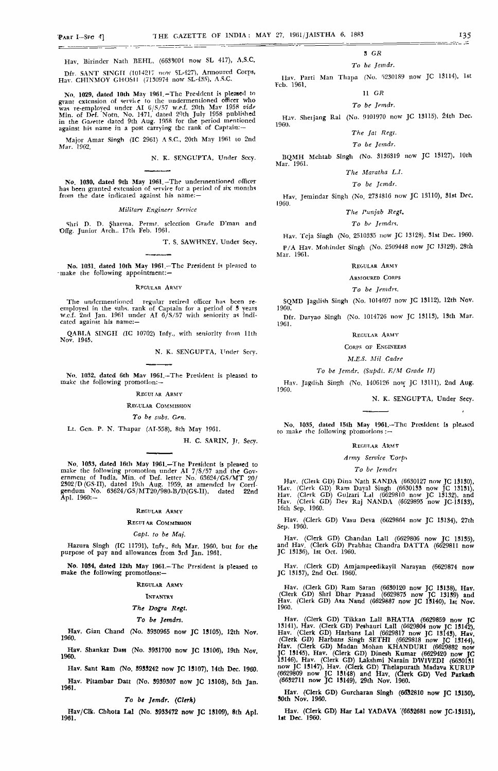Mar. 1961.

I9G0. '

Hav. Birindcr Nath BEHL, (6638001 now SL 417), A.S.C.

Dfr. SANT SINGIT (1014217 now SL-427), Armoured Corps, Hav. CHINMOY GHOSH (7130974 now SL-435), A.S.C.

No. 10Z9, dated IOth May 1961.-The President *U* pleased to grant extension of serviie to the undermentioned officer who was re-employed under AI G/S/57 w.ei. 20th Mav 1958 *vide* Mln. of Def. Notn. No. 1471,' dated 20th July 1958 published in the Ga/ette dated 9th Aug. 1958 for the period mentioned against his name in a post carrying the rank of Captain:-

Major Amar Singh (IC 2961) A S,C, 20th May 1961 to 2nd Mar. 1902,

N. K. SENGUPTA, Under Secy.

No. 1030, dated 9th May 1961. -The undermentioned officer has been granted extension of servlrc for a period of six months from the date indicated against his name:-

#### *Military Engineer Service*

Shri D. D, Sharma, Permt. selection Grade D'man and Ofig. Junior Arch.. 17th Feb. 1961.

T, S. SAWHNEY, Under Secy.

No. 1031, dated 10th May **1961.—**The President is pleased to -make the following appointment:—

### RFCULAR ARMY

The undermentioned regular retired officer has been recrnployed in the subs, rank of Captain for a period of 3 years w.c.f. 2nd Jan. 1961 under AI 6/S/57 with seniority as Indi-cated against his name:—

QABLA SINGH (IC 10702) Infy., with seniority from 11th Nov. 1945.

N. K. SENGUPTA, Under Sccy.

No. 1032, dated 6th May I961.-The President is pleased to make the following promotion;—

#### REGUI AR ARMY

### REGULAR COMMISSION

### *To be subs. Gen.*

Lt. Gen. P. N. Thapar (AI-558), Rth May 1961.

H. C. SARIN, Jr. Secy.

No. 1033, dated 16th May 1961.—The President is pleased to<br>make the following promotion under AI  $7/5/57$  and the Gov-<br>ernment of India, Min. of Def. letter No. 63624/GS/MT 20/<br>2302/D (GS-II), dated 19th Aug. 1959, as ame

### REGULAR ARMY

### REGUI AR COMMISSION

### *Capt. to be Maj.*

Hazura Singh (IC 11791), Infy., 8th Mar. 1960, but for the purpose of pay and allowances from 3rd Jan. 1961,

**No. 1034,** dated I2th May I961.-Thc President is pleased to make the following promotions:—

#### REGULAR ARMY

INFANTRY

### *The Dogra Regl.*

### *To be Jemdrs,*

Hav. Ginn Chand (No. 3930965 now JC 13105), 12th Nov. 1960.

Hav. Shankar Dass (No. 3931700 now JC 13106), 19th Nov. 1960.

Hav. Sant Ram (No, 8933242 now JC 13107), 14th Dec. 1960.

Hav. Pitambar Datt (No. 3939307 now JC 13108), 5th Jan. 1961.

### *To be Jemdr. {Clerk)*

Hav/Clk. Chhota Lai (No. 3933472 now JC 15109), 8th Apl. 1961.

### 3 *GR*

### *To be Jemdr.*

Hav. Parti Man Tliapa (No, 5230189 now JC 13114), 1st Vcb. 1961.

# 11 *GR*

*To be Jemdr,*

Hav. Shetjang Ral (No. 9101970 now JC 13115), 24th Dec. I960.

### *The Jal Regl,*

*To be Jemdr.* BQMH Mehtab Singh (No. 3136319 now JC 13127), IOth

### *The Maratha L.I.*

## *To be Jemdr.*

Hav. Jemindar Singh (No, 2731816 now JC 13110), 81st Dec. I960.

### *The Punjab Regt,*

### *To be Jemdri.*

Hav. Tcja Singh (No. 2510335 now JC 13128), Slst Dec. 1960. P/A Hav. Mohinder Singh (No. 2509448 now JC 13129), 28th Mar. 1961.

#### REGULAR ARMY

#### ARMOURED CORPS

*To be Jemdrt.*

SQMD Jagdish Singh (No, 1014697 now JC 13112), 12th Nov,

1900. Dfr. Daryao Singh (No. 1014726 now JC 13113), 13th Mar. 19G1.

#### REGULAR ARMY

### CORPS OF ENGINEERS

### *M.E.S. Mil Cadre*

### *To be Jemdr. (Supdt. E/M Grade II)*

Hav. Jagdiih Singh (No. 1406126 now JC 13111), 2nd Aug.

### N. K. SENGUPTA, Under Secy.

No, 1035, dated T5th May 1961.—The President is pleased to make the following promotions :—

#### REGULAR ARMY

### *Army Service X^orp\*

#### *To be Jemdri*

Hav. (Cleik GD) Dina Nath KANDA (6630127 now JC 13130), Hav. (Clerk GD) Ram Dayal Singh (6630133 now JC 13131), Hav. (Clerk GD) Gulzari Lai (6629810 now JC 13132), and Hav. (Clerk GD) Dev Raj NANDA (6029895 now JC-1SI33), 16th Sep. 1960.

Hav, (Clerk GD) Vasu Deva (6G29864 now JC 13134), 27th Sep. 1960.

Hav. (Clerk GD) Chandan Lall (G629806 now JC 18135), and Hav. (Clerk GD) Prabhat Chandra DATTA (6629811 now JC 13136), 1st Oct. 1960.

Hav. (Clerk GD) Amjampeedikayil Narayan (6629874 now JC 13137), 2nd Oct. 1960,

Hav. (Clerk GD) Ram Saran (6630120 now JC 13138), Hav. (Clerk GD) Shrl Dhar Prasad (6629875 now JC 13139) and Hav. (Clerk GD) Asa Nand (6629887 now JC **13140),** 1st Nov. 1960.

Hav. (Clerk GD) Tikkan Lall BHATIA (6629859 now JC 13141), Hav. (Clerk GD) Peshauri Lall (6629804 now JC 13142), Hav. (Clerk GD) Harbans Lai (6629817 now JC 13143), Hav (Clerk GD) Harbans Singh SETHI (6629818 now JC 13144), Hav. (Clerk GD) Madan Mohan KHANDURI (6629882 now TC 13145), Hav. (Clerk GD) Dinesh Kumar (6629420 now JC 13146), Hav. (Clerk GD) Lakshmi Narain DWIVEDI (6630131 now JC 13147), Hav. (Clerk GD) Thelapurath Madava KURUP (6629809 now JC 13148) and Hav. (Clerk GD) Ved Parkadi (6632711 now JC 13149), 29th Nov. 1960.

Hav. (Clerk GD) Gurcharan Singh (6632810 now IC 13IB0), 30th Nov. 1960.  $\qquad \qquad$   $\qquad \qquad$   $\qquad \qquad$   $\qquad \qquad$   $\qquad \qquad$   $\qquad \qquad$ 

Hav. (Clerk GD) Har Lai YADAVA (6632681 now TC-13IB1), l»t Dec. 1960.